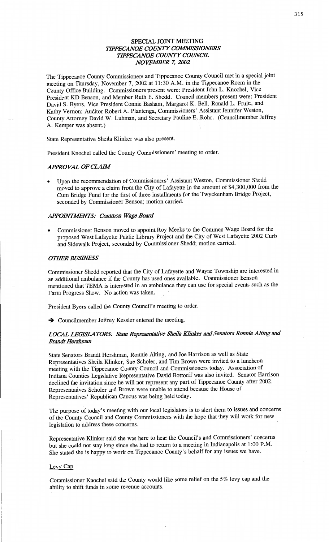# **SPECIAL** JOINT **MEETING TIPPECANOE COUNTY COMMISSIONERS** *WPECANOE COMVTY COWCE NOVEMBER* 7, *2002*

The **Tippecanoe** County **Commissioners** and **Tippecanoe** County Council met in **a special joint meeting** on Thursday, November 7, 2002 at 11:30 **A.M.** in the **Tippecanoe** Room in the County Office Building. Commissioners present were: President John L. Knochel, Vice President KD Benson, and Member Ruth B. **Shedd.** Council members present were: President . David S. Byers, Vice President **Connie Basham,** Margaret K. Bell, Ronald L. Fruitt, and Kathy Vernon; Auditor Robert A. Plantenga, Commissioners' Assistant Jennifer Weston, **County** Attorney **David** W. **Luhman,** and **Secretary** Pauline E. **\_Rohr.** (Councilmember Jeffrey A. Kemper was absent.)

**State** Representative Sheila **Klinker** was also present.

President Knochel called the **County** Commissioners' **meeting** to order.

## *APPROVAL* OF *CLAW*

**-** Upon the recommendation of **Commissionefs'** Assistant Weston, Commissioner **Shedd**  moved to **approve a** claim from the City of Lafayette in the amount of \$4,300,000 from the Cum Bridge **Fund** for the first of three installments for the Twyckenham Bridge **Project,**  seconded by Commissioner Benson; motion carried.

## *APPOHVYWNTS: Common Wage Board*

**0** Commissioner Benson moved to appoint Roy Meeks to the **Common** Wage **Board** for the proposed West Lafayette Public Library Project and the **City** of West **Lafayette** 2002 Curb and Sidewalk Project, **seconded** by Commissioner **Shedd;** motion carried.

## **OTHER BUSINESS**

**Commissioner** Shedd reported **that** the City of Lafayette and Wayne **Township** are interested in an additional ambulance if the **County** has **used** ones available. **Commissioner** Benson mentioned that **TEMA** is interested in an **ambulance** they can use for special events **such** as the Farm Progress **Show.** No action was taken.

President Byers **called** the County **Council's** meeting to order.

 $\rightarrow$  Councilmember Jeffrey Kessler entered the meeting.

# *LOCAL LEGISLA MRS: State* Repmsaamfive *Sheila Klinker* and *Senators Ronnie Alting* and *Brandt Hershman*

State Senators Brandt **Hershman, Ronnie** Alting, and Joe **Harrison** as well as **State**  Representatives Sheila Klinker, Sue Scholer, and Tim Brown were invited to a luncheon meeting with the **Tippecanoe** County Council and Commissioners today. Association of **Indiana** Counties Legislative Representative **David** Bottorff was **also** invited. Senator Harrison declined the invitation since he will not represent any part of Tippecanoe County after 2002. Representatives Scholer and Brown were unable to **attend** because the **House** of Representatives' Republican Caucus was being **held today.** 

The purpose of today's meeting with our local legislators is to alert them to issues and concerns of the County **Council** and **County Commissioners with** the **hope that** they will work for new legislation to address these concerns.

Representative Klinker said she was here to hear the **Council's** and Commissioners' concerns but she could not **stay** long since she had to return to **a** meeting in **Indianapolis** at 1:00 P.M. She stated she is happy to work on Tippecanoe County's behalf for any issues we have.

#### Levy Cap

**Commissioner Knochel said** the County would like **some** relief on the 5% levy cap and the ability to **shift funds** in **some revenue** accounts.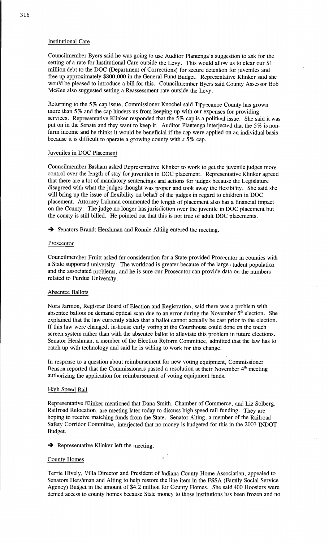# **Institutional** Care

Councilmember Byers said he was going to use Auditor Plantenga's suggestion to ask for the setting of a rate for Institutional Care outside the Levy. **This** would allow us to clear our \$1 **million** debt to the DOC (Department of Corrections) for secure detention for juveniles and free up approximately \$800,000 in the General Fund **Budget.** Representative Klinker said she would be pleased to introduce a bill for this. Councilmember Byers said **County** Assessor Bob McKee **also** suggested setting **a** Reassessment rate outside the Levy.

Returning to the 5% cap issue, Commissioner **Knochel said Tippecanoe** County has grown more than 5% and the cap hinders us from keeping up **with** our expenses for providing services. Representative Klinker responded that the 5% cap is a political issue. She said it was put on in the Senate and they want to keep it. Auditor Plantenga interjected **that** the 5 *%* is **non**farm income and he **thinks** it would be beneficial if the cap were applied on an **individual basis**  because it is difficult to operate **a** growing county with a 5% **cap.** 

#### Juveniles in DOC Placement

Councilmember **Basham** asked Representative Klinker to work to get the **juvenile** judges more control over the length of stay for juveniles in DOC placement. Representative Klinker agreed that there are a lot of mandatory sentencings and actions for judges because the Legislature disagreed with what the judges thought was proper and took away the flexibility. She **said** she will bring up the issue of flexibility on **behalf** of the judges in regard to children in DOC placement. Attorney Luhman commented the length of placement also has **a financial impact**  on the County. The judge no longer has **jurisdiction** over the juvenile in DOC placement but the county is **still** billed. He pointed out **that** this is not true of adult DOC placements.

-) Senators **Brandt Hershman** and **Ronnie** Alfifig **entered** the meeting.

#### **Prosecutor**

Councilmember Fruitt asked for **consideration** for **a** State-provided Prosecutor in counties with **a** State supported university. The workload is greater because of the large student population and the **associated** problems, and he is sure our Prosecutor can provide **data** on the numbers related to Purdue University.

## Absentee Ballots

Nora Jarmon, Registrar Board of Election and Registration, said there was a problem with absentee ballots on demand optical scan due to an error during the November 5<sup>th</sup> election. She **explained** that the law currently states **that a** ballot cannot actually be cast prior to the election. If **this** law were changed, in-house early voting at the Courthouse could done on the touch screen system **rather than with** the absentee ballot to alleviate **this** problem in future elections. Senator Hershman, **a** member of the Election Reform Committee, admitted that the law has to catch up with technology and said he is willing to work for this change.

In response to **a question** about reimbursement for new voting equipment, Commissioner Benson reported that the Commissioners passed a resolution at their November 4<sup>th</sup> meeting authorizing the application for reimbursement of voting equipment funds.

#### **High Speed Rail**

Representative Klinker mentioned **that Dana Smith,** Chamber of **Commerce,** and Liz Solberg, Railroad Relocation, are meeting later today to discuss high speed rail **funding.** They are hoping to **receive** matching funds from the **State.** Senator Alting, **a** member of the Railroad Safety Corridor Committee, interjected that no money is budgeted for this in the 2003 INDOT Budget.

 $\rightarrow$  Representative Klinker left the meeting.

#### **Conny}: Homes**

Terrie Hively, Villa Director and President of Indiana County **Home Association, appealed** to Senators Hershman and **Alting** to help restore the line **item** in the FSSA (Family Social Service Agency) Budget in the amount of \$4.2 million for County Homes. She said 400 Hoosiers were denied access to county homes because State **money** to those institutions has been frozen and no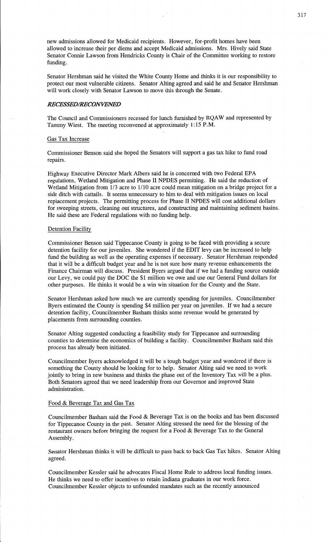new admissions allowed for Medicaid recipients.- However, for-profit **homes have** been allowed to increase their per diems and accept Medicaid **admissions.** Mrs. Hively **said** State Senator Connie Lawson from Hendricks County is Chair of the Committee working to restore funding.

Senator Hershman said he Visited the White County Home and **thinks** it is our responsibility to protect our most vulnerable **citizens. Senator** Alting agreed and **said** he and Senator Hershman will work closely with **Senator** Lawson to move **this** through the Senate.

## *RECESSED/RECONVENED*

The Council and Commissioners recessed for lunch furnished by **RQAW** and represented by Tammy Wiest. The meeting reconvened at approximately **1:15,** P.M.

#### Gas Tax Increase

Commissioner Benson said she hoped the Senators will support **a** gas tax hike to fund road repairs.

Highway Executive Director Mark Albers **said** he is concerned with two Federal EPA regulations, Wetland Mitigation and Phase II NPDES permitting. He **said** the reduction of Wetland Mitigation from  $1/3$  acre to  $1/10$  acre could mean mitigation on a bridge project for a side ditch with cattails. It seems unnecessary to him to deal with mitigation issues on local replacement projects. The permitting process for **Phase** II NPDES will cost additional dollars for sweeping streets, cleaning out structures, and constructing and maintaining sediment basins. He said these are Federal regulations with no funding help.

#### Detention Facility

Commissioner Benson said Tippecanoe County is going to be faced with providing **a** secure detention facility for our juveniles. She wondefed if the EDIT levy can be increased to help fund the building as well as the operating expenses if necessary. Senator Hershman responded that it will be a difficult budget year and he is not sure how many revenue enhancements the Finance **Chairman** will discuss. President Byers argued that if we had a funding source outside our Levy, we could pay the DOC the \$1 million we owe and use our General Fund dollars for other purposes. He **thinks** it would be a win Win situation for the County and the State.

Senator Hershman asked how **much** we are currently spending for juveniles. Councilmember Byers estimated the County is spending \$4 million per year on juveniles. If we had a secure detention facility, Councilmember **Basham thinks** some revenue would be generated by placements from surrounding counties.

Senator Alting suggested conducting **a** feasibility study for Tippecanoe and surrounding counties to determine the economics of building a facility. Councilmember Basham said this process has already been initiated.

Councilmember Byers acknowledged it will be a 'tough budget year and wondered if there is something the County should be looking for to help. Senator Alting said we need to work jointly to bring in new business and **thinks** the phase out of the Inventory Tax will be a **plus.**  Both Senators agreed that we need leadership from our Governor and improved State administration.

# Food & Beverage Tax and Gas Tax

Councilmember **Basham** said the Food & Beverage Tax is on the books and has been discussed for Tippecanoe County in the past. Senator Alting stressed the need for the blessing of the restaurant owners before bringing the request for a Food & Beverage Tax to the General Assembly.

Senator Hershman thinks it will be difficult to **pass** back to back Gas Tax hikes. Senator Alting agreed.

Councilmember Kessler **said** he advocates Fiscal Home Rule to address local funding issues. He **thinks** we need to offer incentives to retain **Indiana** graduates in our work force. Councilmember Kessler objects to unfounded mandates such as the recently announced